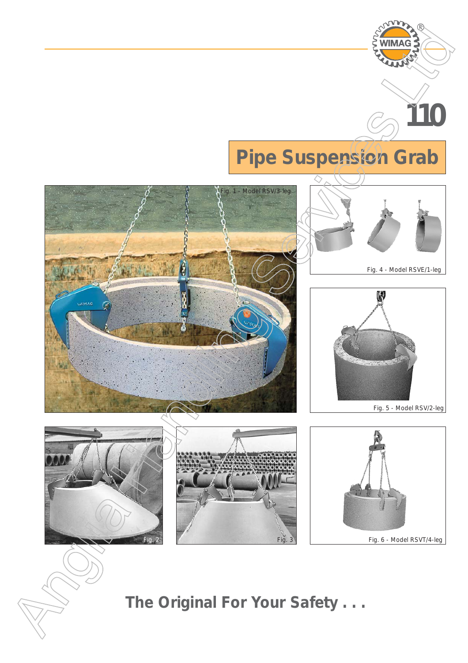

Fig. 3 **Fig. 3** Fig. 6 - Model RSVT/4-leg

*The Original For Your Safety . . .*